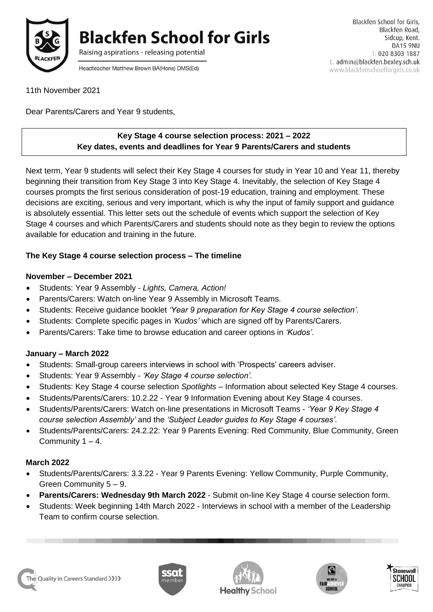

**Blackfen School for Girls** 

Raising aspirations - releasing potential

Headteacher Matthew Brown BA(Hons) DMS(Ed)

11th November 2021

Dear Parents/Carers and Year 9 students,

#### **Key Stage 4 course selection process: 2021 – 2022 Key dates, events and deadlines for Year 9 Parents/Carers and students**

Next term, Year 9 students will select their Key Stage 4 courses for study in Year 10 and Year 11, thereby beginning their transition from Key Stage 3 into Key Stage 4. Inevitably, the selection of Key Stage 4 courses prompts the first serious consideration of post-19 education, training and employment. These decisions are exciting, serious and very important, which is why the input of family support and guidance is absolutely essential. This letter sets out the schedule of events which support the selection of Key Stage 4 courses and which Parents/Carers and students should note as they begin to review the options available for education and training in the future.

# **The Key Stage 4 course selection process – The timeline**

#### **November – December 2021**

- Students: Year 9 Assembly *Lights, Camera, Action!*
- Parents/Carers: Watch on-line Year 9 Assembly in Microsoft Teams.
- Students: Receive guidance booklet *'Year 9 preparation for Key Stage 4 course selection'*.
- Students: Complete specific pages in *'Kudos'* which are signed off by Parents/Carers.
- Parents/Carers: Take time to browse education and career options in *'Kudos'*.

#### **January – March 2022**

- Students: Small-group careers interviews in school with 'Prospects' careers adviser.
- Students: Year 9 Assembly *'Key Stage 4 course selection'.*
- Students: Key Stage 4 course selection *Spotlights* Information about selected Key Stage 4 courses.
- Students/Parents/Carers: 10.2.22 Year 9 Information Evening about Key Stage 4 courses.
- Students/Parents/Carers: Watch on-line presentations in Microsoft Teams *'Year 9 Key Stage 4 course selection Assembly'* and the *'Subject Leader guides to Key Stage 4 courses'*.
- Students/Parents/Carers: 24.2.22: Year 9 Parents Evening: Red Community, Blue Community, Green Community  $1 - 4$ .

#### **March 2022**

- Students/Parents/Carers: 3.3.22 Year 9 Parents Evening: Yellow Community, Purple Community, Green Community 5 – 9.
- **Parents/Carers: Wednesday 9th March 2022** Submit on-line Key Stage 4 course selection form.
- Students: Week beginning 14th March 2022 Interviews in school with a member of the Leadership Team to confirm course selection.







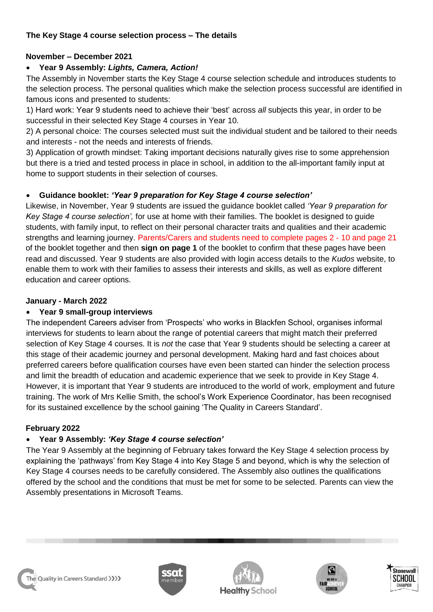# **The Key Stage 4 course selection process – The details**

# **November – December 2021**

# **Year 9 Assembly:** *Lights, Camera, Action!*

The Assembly in November starts the Key Stage 4 course selection schedule and introduces students to the selection process. The personal qualities which make the selection process successful are identified in famous icons and presented to students:

1) Hard work: Year 9 students need to achieve their 'best' across *all* subjects this year, in order to be successful in their selected Key Stage 4 courses in Year 10.

2) A personal choice: The courses selected must suit the individual student and be tailored to their needs and interests - not the needs and interests of friends.

3) Application of growth mindset: Taking important decisions naturally gives rise to some apprehension but there is a tried and tested process in place in school, in addition to the all-important family input at home to support students in their selection of courses.

# **Guidance booklet:** *'Year 9 preparation for Key Stage 4 course selection'*

Likewise, in November, Year 9 students are issued the guidance booklet called *'Year 9 preparation for Key Stage 4 course selection',* for use at home with their families. The booklet is designed to guide students, with family input, to reflect on their personal character traits and qualities and their academic strengths and learning journey. Parents/Carers and students need to complete pages 2 - 10 and page 21 of the booklet together and then **sign on page 1** of the booklet to confirm that these pages have been read and discussed. Year 9 students are also provided with login access details to the *Kudos* website, to enable them to work with their families to assess their interests and skills, as well as explore different education and career options.

# **January - March 2022**

# **Year 9 small-group interviews**

The independent Careers adviser from 'Prospects' who works in Blackfen School, organises informal interviews for students to learn about the range of potential careers that might match their preferred selection of Key Stage 4 courses. It is *not* the case that Year 9 students should be selecting a career at this stage of their academic journey and personal development. Making hard and fast choices about preferred careers before qualification courses have even been started can hinder the selection process and limit the breadth of education and academic experience that we seek to provide in Key Stage 4. However, it is important that Year 9 students are introduced to the world of work, employment and future training. The work of Mrs Kellie Smith, the school's Work Experience Coordinator, has been recognised for its sustained excellence by the school gaining 'The Quality in Careers Standard'.

# **February 2022**

# **Year 9 Assembly:** *'Key Stage 4 course selection'*

The Year 9 Assembly at the beginning of February takes forward the Key Stage 4 selection process by explaining the 'pathways' from Key Stage 4 into Key Stage 5 and beyond, which is why the selection of Key Stage 4 courses needs to be carefully considered. The Assembly also outlines the qualifications offered by the school and the conditions that must be met for some to be selected. Parents can view the Assembly presentations in Microsoft Teams.